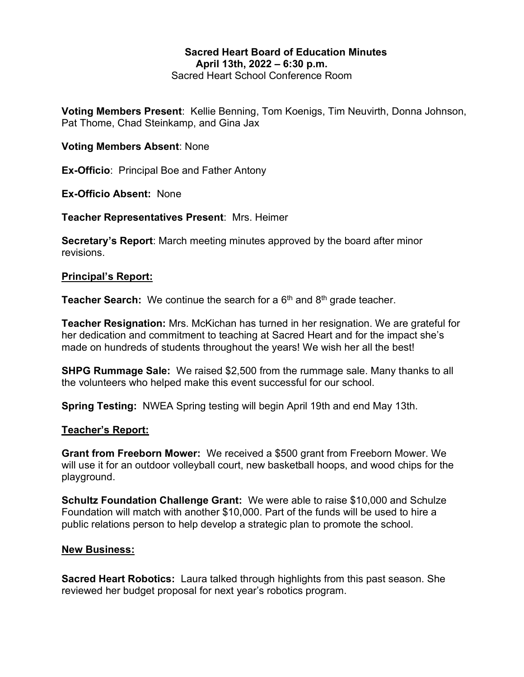# Sacred Heart Board of Education Minutes April 13th, 2022 – 6:30 p.m.

Sacred Heart School Conference Room

Voting Members Present: Kellie Benning, Tom Koenigs, Tim Neuvirth, Donna Johnson, Pat Thome, Chad Steinkamp, and Gina Jax

### Voting Members Absent: None

Ex-Officio: Principal Boe and Father Antony

Ex-Officio Absent: None

Teacher Representatives Present: Mrs. Heimer

Secretary's Report: March meeting minutes approved by the board after minor revisions.

#### Principal's Report:

**Teacher Search:** We continue the search for a  $6<sup>th</sup>$  and  $8<sup>th</sup>$  grade teacher.

Teacher Resignation: Mrs. McKichan has turned in her resignation. We are grateful for her dedication and commitment to teaching at Sacred Heart and for the impact she's made on hundreds of students throughout the years! We wish her all the best!

SHPG Rummage Sale: We raised \$2,500 from the rummage sale. Many thanks to all the volunteers who helped make this event successful for our school.

Spring Testing: NWEA Spring testing will begin April 19th and end May 13th.

### Teacher's Report:

Grant from Freeborn Mower: We received a \$500 grant from Freeborn Mower. We will use it for an outdoor volleyball court, new basketball hoops, and wood chips for the playground.

Schultz Foundation Challenge Grant: We were able to raise \$10,000 and Schulze Foundation will match with another \$10,000. Part of the funds will be used to hire a public relations person to help develop a strategic plan to promote the school.

### New Business:

Sacred Heart Robotics: Laura talked through highlights from this past season. She reviewed her budget proposal for next year's robotics program.